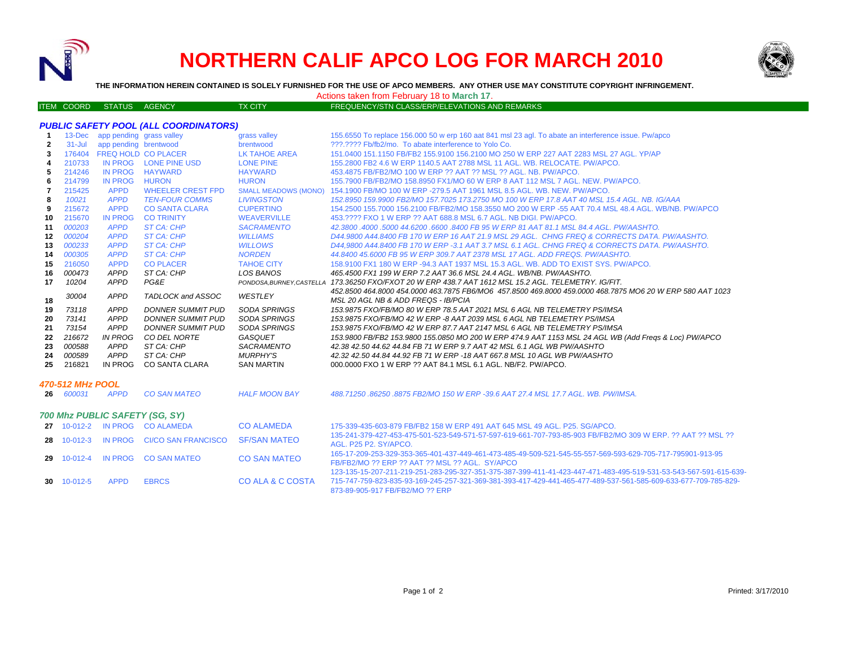

# **NORTHERN CALIF APCO LOG FOR MARCH 2010**



**THE INFORMATION HEREIN CONTAINED IS SOLELY FURNISHED FOR THE USE OF APCO MEMBERS. ANY OTHER USE MAY CONSTITUTE COPYRIGHT INFRINGEMENT.**

Actions taken from February 18 to **March 17**.

### ITEM COORD STATUS AGENCY TX CITY TX CITY FREQUENCY/STN CLASS/ERP/ELEVATIONS AND REMARKS

|                  | $13 - Dec$              | app pending grass valley       |                                  | grass valley                | 155.6550 To replace 156.000 50 w erp 160 aat 841 msl 23 agl. To abate an interference issue. Pw/apco              |  |  |  |  |  |
|------------------|-------------------------|--------------------------------|----------------------------------|-----------------------------|-------------------------------------------------------------------------------------------------------------------|--|--|--|--|--|
| $\mathbf{2}$     | $31 -$ Jul              | app pending brentwood          |                                  | brentwood                   | ???.???? Fb/fb2/mo. To abate interference to Yolo Co.                                                             |  |  |  |  |  |
| 3                | 176404                  |                                | FREQ HOLD CO PLACER              | <b>LK TAHOE AREA</b>        | 151.0400 151.1150 FB/FB2 155.9100 156.2100 MO 250 W ERP 227 AAT 2283 MSL 27 AGL, YP/AP                            |  |  |  |  |  |
| 4                | 210733                  |                                | IN PROG LONE PINE USD            | <b>LONE PINE</b>            | 155,2800 FB2 4.6 W ERP 1140.5 AAT 2788 MSL 11 AGL, WB, RELOCATE, PW/APCO,                                         |  |  |  |  |  |
| 5                | 214246                  | <b>IN PROG</b>                 | <b>HAYWARD</b>                   | <b>HAYWARD</b>              | 453.4875 FB/FB2/MO 100 W ERP ?? AAT ?? MSL ?? AGL, NB, PW/APCO,                                                   |  |  |  |  |  |
| 6                | 214799                  | <b>IN PROG</b>                 | <b>HURON</b>                     | <b>HURON</b>                | 155,7900 FB/FB2/MO 158,8950 FX1/MO 60 W ERP 8 AAT 112 MSL 7 AGL, NEW, PW/APCO,                                    |  |  |  |  |  |
| 7                | 215425                  | <b>APPD</b>                    | <b>WHEELER CREST FPD</b>         | <b>SMALL MEADOWS (MONO)</b> | 154.1900 FB/MO 100 W ERP -279.5 AAT 1961 MSL 8.5 AGL, WB, NEW, PW/APCO,                                           |  |  |  |  |  |
| 8                | 10021                   | <b>APPD</b>                    | <b>TEN-FOUR COMMS</b>            | <b>LIVINGSTON</b>           | 152.8950 159.9900 FB2/MO 157.7025 173.2750 MO 100 W ERP 17.8 AAT 40 MSL 15.4 AGL. NB. IG/AAA                      |  |  |  |  |  |
| 9                | 215672                  | <b>APPD</b>                    | <b>CO SANTA CLARA</b>            | <b>CUPERTINO</b>            | 154.2500 155.7000 156.2100 FB/FB2/MO 158.3550 MO 200 W ERP -55 AAT 70.4 MSL 48.4 AGL, WB/NB, PW/APCO              |  |  |  |  |  |
| 10               | 215670                  | <b>IN PROG</b>                 | <b>CO TRINITY</b>                | <b>WEAVERVILLE</b>          | 453.???? FXO 1 W ERP ?? AAT 688.8 MSL 6.7 AGL. NB DIGI, PW/APCO.                                                  |  |  |  |  |  |
| 11               | 000203                  | <b>APPD</b>                    | <b>ST CA: CHP</b>                | <b>SACRAMENTO</b>           | 42.3800 .4000 .5000 44.6200 .6600 .8400 FB 95 W ERP 81 AAT 81.1 MSL 84.4 AGL, PW/AASHTO.                          |  |  |  |  |  |
| $12 \,$          | 000204                  | <b>APPD</b>                    | <b>ST CA: CHP</b>                | <b>WILLIAMS</b>             | D44.9800 A44.8400 FB 170 W ERP 16 AAT 21.9 MSL 29 AGL. CHNG FREQ & CORRECTS DATA. PW/AASHTO.                      |  |  |  |  |  |
| 13               | 000233                  | <b>APPD</b>                    | <b>ST CA: CHP</b>                | <b>WILLOWS</b>              | D44.9800 A44.8400 FB 170 W ERP -3.1 AAT 3.7 MSL 6.1 AGL. CHNG FREQ & CORRECTS DATA. PW/AASHTO.                    |  |  |  |  |  |
| 14               | 000305                  | <b>APPD</b>                    | <b>ST CA: CHP</b>                | <b>NORDEN</b>               | 44,8400 45,6000 FB 95 W ERP 309.7 AAT 2378 MSL 17 AGL, ADD FREQS, PW/AASHTO.                                      |  |  |  |  |  |
| 15               | 216050                  | <b>APPD</b>                    | <b>CO PLACER</b>                 | <b>TAHOE CITY</b>           | 158,9100 FX1 180 W ERP -94.3 AAT 1937 MSL 15.3 AGL, WB, ADD TO EXIST SYS, PW/APCO,                                |  |  |  |  |  |
| 16               | 000473                  | <b>APPD</b>                    | ST CA: CHP                       | <b>LOS BANOS</b>            | 465.4500 FX1 199 W ERP 7.2 AAT 36.6 MSL 24.4 AGL, WB/NB, PW/AASHTO,                                               |  |  |  |  |  |
| 17               | 10204                   | APPD                           | PG&E                             |                             | PONDOSA.BURNEY.CASTELLA 173.36250 FXO/FXOT 20 W ERP 438.7 AAT 1612 MSL 15.2 AGL. TELEMETRY. IG/FIT.               |  |  |  |  |  |
|                  | 30004                   | <b>APPD</b>                    | TADLOCK and ASSOC                | WESTLEY                     | 452.8500 464.8000 454.0000 463.7875 FB6/MO6 457.8500 469.8000 459.0000 468.7875 MO6 20 W ERP 580 AAT 1023         |  |  |  |  |  |
| 18               |                         |                                |                                  |                             | MSL 20 AGL NB & ADD FREQS - IB/PCIA                                                                               |  |  |  |  |  |
| 19               | 73118                   | APPD                           | <b>DONNER SUMMIT PUD</b>         | <b>SODA SPRINGS</b>         | 153.9875 FXO/FB/MO 80 W ERP 78.5 AAT 2021 MSL 6 AGL NB TELEMETRY PS/IMSA                                          |  |  |  |  |  |
| 20               | 73141                   | APPD                           | <b>DONNER SUMMIT PUD</b>         | <b>SODA SPRINGS</b>         | 153.9875 FXO/FB/MO 42 W ERP -8 AAT 2039 MSL 6 AGL NB TELEMETRY PS/IMSA                                            |  |  |  |  |  |
| 21               | 73154                   | APPD                           | <b>DONNER SUMMIT PUD</b>         | <b>SODA SPRINGS</b>         | 153.9875 FXO/FB/MO 42 W ERP 87.7 AAT 2147 MSL 6 AGL NB TELEMETRY PS/IMSA                                          |  |  |  |  |  |
| 22               | 216672                  | <b>IN PROG</b>                 | CO DEL NORTE                     | GASQUET                     | 153.9800 FB/FB2 153.9800 155.0850 MO 200 W ERP 474.9 AAT 1153 MSL 24 AGL WB (Add Freqs & Loc) PW/APCO             |  |  |  |  |  |
| 23               | 000588                  | APPD                           | ST CA: CHP                       | <b>SACRAMENTO</b>           | 42.38 42.50 44.62 44.84 FB 71 W ERP 9.7 AAT 42 MSL 6.1 AGL WB PW/AASHTO                                           |  |  |  |  |  |
| 24               | 000589                  | <b>APPD</b>                    | ST CA: CHP                       | <b>MURPHY'S</b>             | 42.32 42.50 44.84 44.92 FB 71 W ERP -18 AAT 667.8 MSL 10 AGL WB PW/AASHTO                                         |  |  |  |  |  |
| 25               | 216821                  | IN PROG                        | CO SANTA CLARA                   | <b>SAN MARTIN</b>           | 000,0000 FXO 1 W ERP ?? AAT 84.1 MSL 6.1 AGL, NB/F2, PW/APCO,                                                     |  |  |  |  |  |
|                  |                         |                                |                                  |                             |                                                                                                                   |  |  |  |  |  |
| 470-512 MHz POOL |                         |                                |                                  |                             |                                                                                                                   |  |  |  |  |  |
|                  | 26 600031               | <b>APPD</b>                    | <b>CO SAN MATEO</b>              | <b>HALF MOON BAY</b>        | 488.71250.86250.8875 FB2/MO 150 W ERP -39.6 AAT 27.4 MSL 17.7 AGL. WB. PW/IMSA.                                   |  |  |  |  |  |
|                  |                         |                                |                                  |                             |                                                                                                                   |  |  |  |  |  |
|                  |                         | 700 Mhz PUBLIC SAFETY (SG, SY) |                                  |                             |                                                                                                                   |  |  |  |  |  |
|                  |                         |                                | 27 10-012-2 IN PROG CO ALAMEDA   | <b>CO ALAMEDA</b>           | 175-339-435-603-879 FB/FB2 158 W ERP 491 AAT 645 MSL 49 AGL, P25, SG/APCO,                                        |  |  |  |  |  |
|                  |                         |                                |                                  |                             | 135-241-379-427-453-475-501-523-549-571-57-597-619-661-707-793-85-903 FB/FB2/MO 309 W ERP, 22 AAT 22 MSL 22       |  |  |  |  |  |
|                  | 28 10-012-3             | <b>IN PROG</b>                 | <b>CI/CO SAN FRANCISCO</b>       | <b>SF/SAN MATEO</b>         | AGL, P25 P2, SY/APCO.                                                                                             |  |  |  |  |  |
|                  |                         |                                |                                  |                             | 165-17-209-253-329-353-365-401-437-449-461-473-485-49-509-521-545-55-557-569-593-629-705-717-795901-913-95        |  |  |  |  |  |
|                  |                         |                                | 29 10-012-4 IN PROG CO SAN MATEO | <b>CO SAN MATEO</b>         | FB/FB2/MO ?? ERP ?? AAT ?? MSL ?? AGL. SY/APCO                                                                    |  |  |  |  |  |
|                  |                         |                                |                                  |                             | 123-135-15-207-211-219-251-283-295-327-351-375-387-399-411-41-423-447-471-483-495-519-531-53-543-567-591-615-639- |  |  |  |  |  |
|                  | $30 \quad 10 - 012 - 5$ | <b>APPD</b>                    | <b>EBRCS</b>                     | CO ALA & C COSTA            | 715-747-759-823-835-93-169-245-257-321-369-381-393-417-429-441-465-477-489-537-561-585-609-633-677-709-785-829-   |  |  |  |  |  |

873-89-905-917 FB/FB2/MO ?? ERP